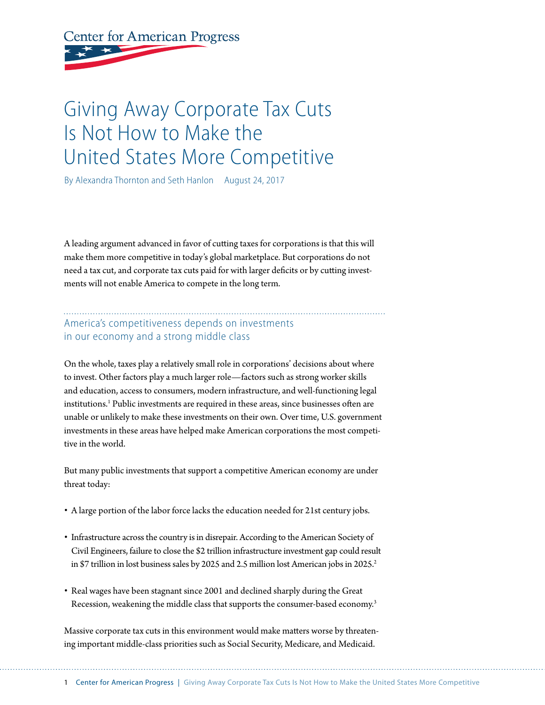**Center for American Progress** 

# Giving Away Corporate Tax Cuts Is Not How to Make the United States More Competitive

By Alexandra Thornton and Seth Hanlon August 24, 2017

A leading argument advanced in favor of cutting taxes for corporations is that this will make them more competitive in today's global marketplace. But corporations do not need a tax cut, and corporate tax cuts paid for with larger deficits or by cutting investments will not enable America to compete in the long term.

### America's competitiveness depends on investments in our economy and a strong middle class

On the whole, taxes play a relatively small role in corporations' decisions about where to invest. Other factors play a much larger role—factors such as strong worker skills and education, access to consumers, modern infrastructure, and well-functioning legal institutions.1 Public investments are required in these areas, since businesses often are unable or unlikely to make these investments on their own. Over time, U.S. government investments in these areas have helped make American corporations the most competitive in the world.

But many public investments that support a competitive American economy are under threat today:

- A large portion of the labor force lacks the education needed for 21st century jobs.
- Infrastructure across the country is in disrepair. According to the American Society of Civil Engineers, failure to close the \$2 trillion infrastructure investment gap could result in \$7 trillion in lost business sales by 2025 and 2.5 million lost American jobs in 2025.<sup>2</sup>
- Real wages have been stagnant since 2001 and declined sharply during the Great Recession, weakening the middle class that supports the consumer-based economy.<sup>3</sup>

Massive corporate tax cuts in this environment would make matters worse by threatening important middle-class priorities such as Social Security, Medicare, and Medicaid.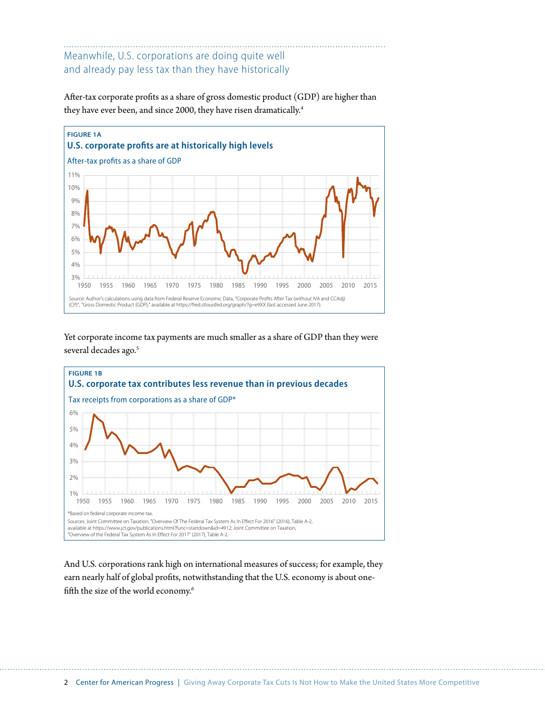## Meanwhile, U.S. corporations are doing quite well and already pay less tax than they have historically

After-tax corporate profits as a share of gross domestic product (GDP) are higher than they have ever been, and since 2000, they have risen dramatically.<sup>4</sup>



Yet corporate income tax payments are much smaller as a share of GDP than they were several decades ago.<sup>5</sup>



And U.S. corporations rank high on international measures of success; for example, they earn nearly half of global profits, notwithstanding that the U.S. economy is about onefifth the size of the world economy.<sup>6</sup>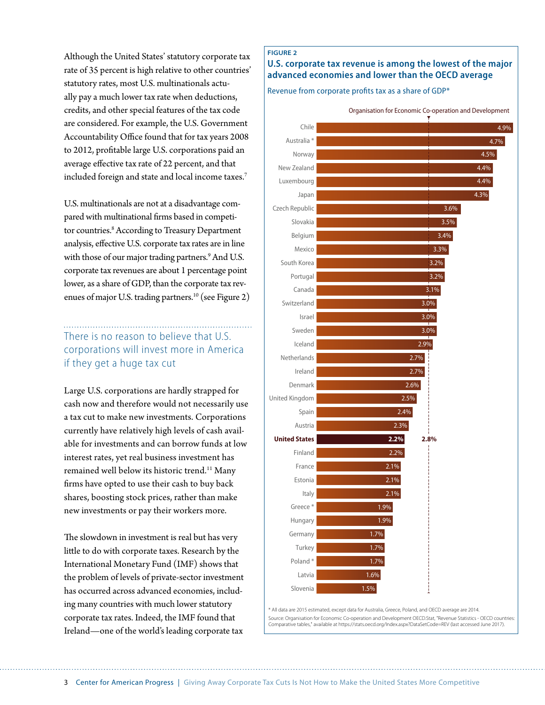Although the United States' statutory corporate tax rate of 35 percent is high relative to other countries' statutory rates, most U.S. multinationals actually pay a much lower tax rate when deductions, credits, and other special features of the tax code are considered. For example, the U.S. Government Accountability Office found that for tax years 2008 to 2012, profitable large U.S. corporations paid an average effective tax rate of 22 percent, and that included foreign and state and local income taxes.7

U.S. multinationals are not at a disadvantage compared with multinational firms based in competitor countries.<sup>8</sup> According to Treasury Department analysis, effective U.S. corporate tax rates are in line with those of our major trading partners.<sup>9</sup> And U.S. corporate tax revenues are about 1 percentage point lower, as a share of GDP, than the corporate tax revenues of major U.S. trading partners.<sup>10</sup> (see Figure 2)

### There is no reason to believe that U.S. corporations will invest more in America if they get a huge tax cut

Large U.S. corporations are hardly strapped for cash now and therefore would not necessarily use a tax cut to make new investments. Corporations currently have relatively high levels of cash available for investments and can borrow funds at low interest rates, yet real business investment has remained well below its historic trend.<sup>11</sup> Many firms have opted to use their cash to buy back shares, boosting stock prices, rather than make new investments or pay their workers more.

The slowdown in investment is real but has very little to do with corporate taxes. Research by the International Monetary Fund (IMF) shows that the problem of levels of private-sector investment has occurred across advanced economies, including many countries with much lower statutory corporate tax rates. Indeed, the IMF found that Ireland—one of the world's leading corporate tax

#### **FIGURE 2**

#### **U.S. corporate tax revenue is among the lowest of the major advanced economies and lower than the OECD average**

Revenue from corporate profits tax as a share of GDP\*



\* All data are 2015 estimated, except data for Australia, Greece, Poland, and OECD average are 2014. Source: Organisation for Economic Co-operation and Development OECD.Stat, "Revenue Statistics - OECD countries: Comparative tables," available at https://stats.oecd.org/Index.aspx?DataSetCode=REV (last accessed June 2017).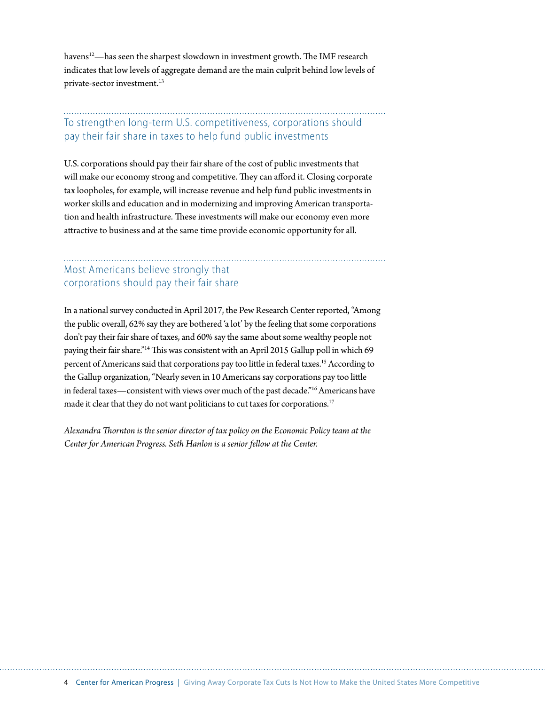havens<sup>12</sup>—has seen the sharpest slowdown in investment growth. The IMF research indicates that low levels of aggregate demand are the main culprit behind low levels of private-sector investment.13

## To strengthen long-term U.S. competitiveness, corporations should pay their fair share in taxes to help fund public investments

U.S. corporations should pay their fair share of the cost of public investments that will make our economy strong and competitive. They can afford it. Closing corporate tax loopholes, for example, will increase revenue and help fund public investments in worker skills and education and in modernizing and improving American transportation and health infrastructure. These investments will make our economy even more attractive to business and at the same time provide economic opportunity for all.

### Most Americans believe strongly that corporations should pay their fair share

In a national survey conducted in April 2017, the Pew Research Center reported, "Among the public overall, 62% say they are bothered 'a lot' by the feeling that some corporations don't pay their fair share of taxes, and 60% say the same about some wealthy people not paying their fair share."14 This was consistent with an April 2015 Gallup poll in which 69 percent of Americans said that corporations pay too little in federal taxes.<sup>15</sup> According to the Gallup organization, "Nearly seven in 10 Americans say corporations pay too little in federal taxes—consistent with views over much of the past decade."16 Americans have made it clear that they do not want politicians to cut taxes for corporations.<sup>17</sup>

*Alexandra Thornton is the senior director of tax policy on the Economic Policy team at the Center for American Progress. Seth Hanlon is a senior fellow at the Center.*